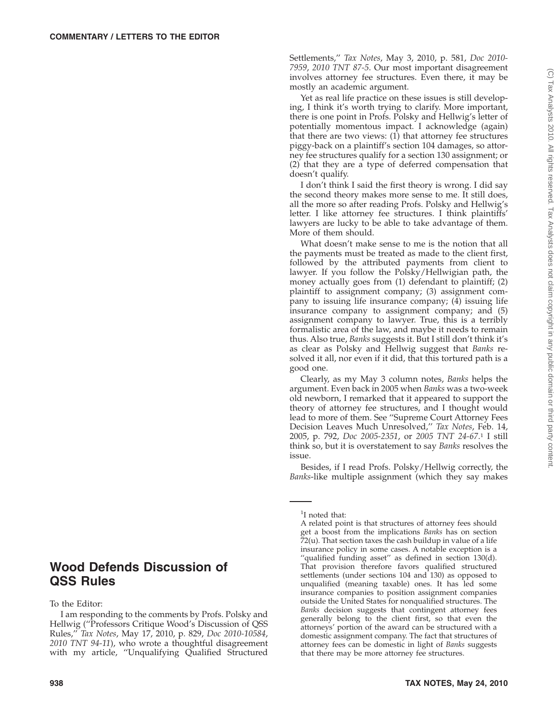Settlements,'' *Tax Notes*, May 3, 2010, p. 581, *Doc 2010- 7959*, *2010 TNT 87-5*. Our most important disagreement involves attorney fee structures. Even there, it may be mostly an academic argument.

Yet as real life practice on these issues is still developing, I think it's worth trying to clarify. More important, there is one point in Profs. Polsky and Hellwig's letter of potentially momentous impact. I acknowledge (again) that there are two views: (1) that attorney fee structures piggy-back on a plaintiff's section 104 damages, so attorney fee structures qualify for a section 130 assignment; or (2) that they are a type of deferred compensation that doesn't qualify.

I don't think I said the first theory is wrong. I did say the second theory makes more sense to me. It still does, all the more so after reading Profs. Polsky and Hellwig's letter. I like attorney fee structures. I think plaintiffs' lawyers are lucky to be able to take advantage of them. More of them should.

What doesn't make sense to me is the notion that all the payments must be treated as made to the client first, followed by the attributed payments from client to lawyer. If you follow the Polsky/Hellwigian path, the money actually goes from (1) defendant to plaintiff; (2) plaintiff to assignment company; (3) assignment company to issuing life insurance company;  $(\tilde{4})$  issuing life insurance company to assignment company; and (5) assignment company to lawyer. True, this is a terribly formalistic area of the law, and maybe it needs to remain thus. Also true, *Banks* suggests it. But I still don't think it's as clear as Polsky and Hellwig suggest that *Banks* resolved it all, nor even if it did, that this tortured path is a good one.

Clearly, as my May 3 column notes, *Banks* helps the argument. Even back in 2005 when *Banks* was a two-week old newborn, I remarked that it appeared to support the theory of attorney fee structures, and I thought would lead to more of them. See ''Supreme Court Attorney Fees Decision Leaves Much Unresolved,'' *Tax Notes*, Feb. 14, 2005, p. 792, *Doc 2005-2351*, or *2005 TNT 24-67*. <sup>1</sup> I still think so, but it is overstatement to say *Banks* resolves the issue.

Besides, if I read Profs. Polsky/Hellwig correctly, the *Banks*-like multiple assignment (which they say makes

## **Wood Defends Discussion of QSS Rules**

To the Editor:

I am responding to the comments by Profs. Polsky and Hellwig (''Professors Critique Wood's Discussion of QSS Rules,'' *Tax Notes*, May 17, 2010, p. 829, *Doc 2010-10584*, *2010 TNT 94-11*), who wrote a thoughtful disagreement with my article, ''Unqualifying Qualified Structured

A related point is that structures of attorney fees should get a boost from the implications *Banks* has on section 72(u). That section taxes the cash buildup in value of a life insurance policy in some cases. A notable exception is a "qualified funding asset" as defined in section 130(d). That provision therefore favors qualified structured settlements (under sections 104 and 130) as opposed to unqualified (meaning taxable) ones. It has led some insurance companies to position assignment companies outside the United States for nonqualified structures. The *Banks* decision suggests that contingent attorney fees generally belong to the client first, so that even the attorneys' portion of the award can be structured with a domestic assignment company. The fact that structures of attorney fees can be domestic in light of *Banks* suggests that there may be more attorney fee structures.